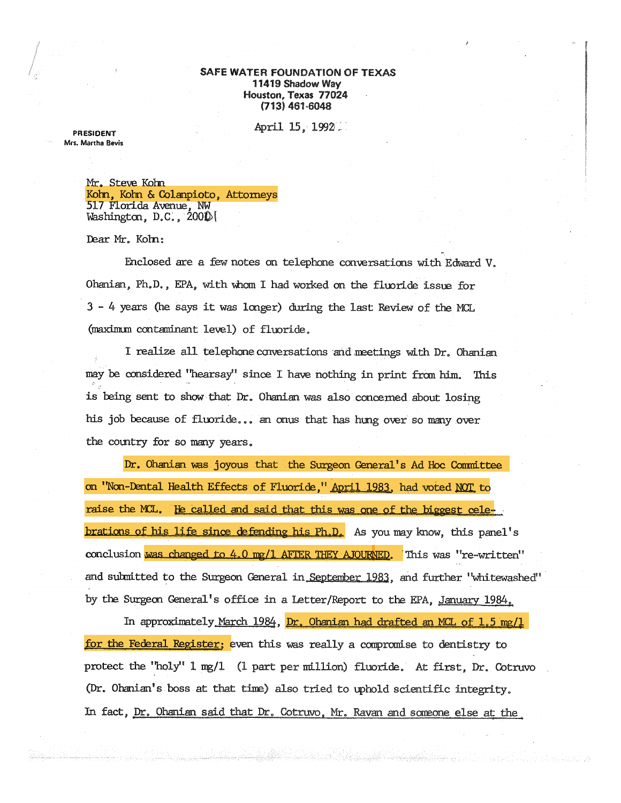## SAFE WATER FOUNDATION OF TEXAS 11419 Shadow Way Houston, Texas 77024  $(713)$  461-6048

April 15, 1992.

**PRESIDENT** Mrs. Martha Bevis

> Mr. Steve Kohn Kohn, Kohn & Colanpioto, Attorneys 517 Florida Avenue, NW Washington,  $D.C., 200D$

Dear Mr. Kohn:

Enclosed are a few notes on telephone conversations with Edward V. Ohanian, Ph.D., EPA, with whom I had worked on the fluoride issue for 3 - 4 years (he says it was longer) during the last Review of the MCL (maximum contaminant level) of fluoride.

I realize all telephone conversations and meetings with Dr. Ohanian may be considered "hearsay" since I have nothing in print from him. This is being sent to show that Dr. Ohanian was also concerned about losing his job because of fluoride... an onus that has hung over so many over the country for so many years.

Dr. Ohanian was joyous that the Surgeon General's Ad Hoc Committee on "Non-Dental Health Effects of Fluoride," April 1983, had voted NOT to raise the MCL. He called and said that this was one of the biggest cele**brations of his life since defending his Ph.D.** As you may know, this panel's conclusion was changed to 4.0 mg/1 AFTER THEY AJOURNED. This was "re-written" and submitted to the Surgeon General in September 1983, and further "whitewashed" by the Surgeon General's office in a Letter/Report to the EPA, January 1984.

In approximately March 1984, Dr. Ohanian had drafted an MCL of 1.5 mg/1 for the Federal Register; even this was really a compromise to dentistry to protect the "holy" 1 mg/1 (1 part per million) fluoride. At first, Dr. Cotruvo (Dr. Ohanian's boss at that time) also tried to uphold scientific integrity. In fact, <u>Dr. Ohanian said that Dr.</u> Cotruvo, Mr. Ravan and someone else at the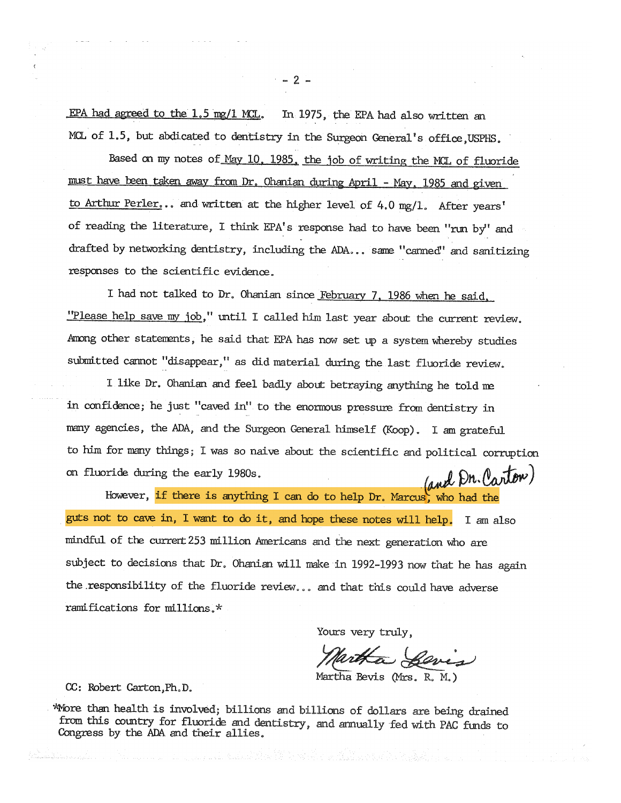EPA had agreed to the  $1.5 \text{ mg}/1 \text{ MCL}$ . In 1975, the EPA had also written an MCL of 1.5, but abdicated to dentistry in the Surgeon General's office, USPHS.

Based on my notes of May 10, 1985. the job of writing the MCL of fluoride must have been taken away from Dr. Ohanian during April - May, 1985 and given to Arthur Perler... and written at the higher level of 4.0 mg/1. After years' of reading the literature, I think EPA's response had to have been "run by" and drafted by networking dentistry, including the ADA... same "canned" and sanitizing responses to the scientific evidence.

I had not talked to Dr. Ohanian since February 7. 1986 when he said. "Please help save my job," until I called him last year about the current review. Among other statements, he said that EPA has now set up a system whereby studies submitted cannot "disappear," as did material during the last fluoride review.

I like Dr. Ohanian and feel badly about betraying anything he told me in confidence; he just "caved in" to the enormous pressure from dentistry in many agencies, the ADA, and the Surgeon General himself (Koop). I am grateful to him for manythings; I was so naive about the scientific and political corruption on fluoride during the early 1980s. (and Dn. Pantow)

However, if there is anything I can do to help Dr. Marcus, who had the guts not to cave in, I want to do it, and hope these notes will help. I amalso mindful of the current 253 million Americans and the next generation who are subject to decisions that Dr. Ohanian will make in 1992-1993 now that he has again the responsibility of the fluoride review... and that this could have adverse ramifications for millions. \*

Yours very truly,

Bevis ~

MarthaBevis (Mrs. R. M.)

CC: Robert Carton, Ph.D.

*i*More than health is involved; billions and billions of dollars are being drained from this country for fluoride and dentistry, and annually fed with PAC funds to Congress by the ADA and their allies.

 $-2 -$